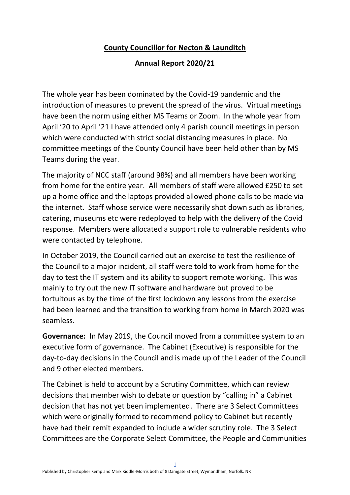## **County Councillor for Necton & Launditch**

## **Annual Report 2020/21**

The whole year has been dominated by the Covid-19 pandemic and the introduction of measures to prevent the spread of the virus. Virtual meetings have been the norm using either MS Teams or Zoom. In the whole year from April '20 to April '21 I have attended only 4 parish council meetings in person which were conducted with strict social distancing measures in place. No committee meetings of the County Council have been held other than by MS Teams during the year.

The majority of NCC staff (around 98%) and all members have been working from home for the entire year. All members of staff were allowed £250 to set up a home office and the laptops provided allowed phone calls to be made via the internet. Staff whose service were necessarily shot down such as libraries, catering, museums etc were redeployed to help with the delivery of the Covid response. Members were allocated a support role to vulnerable residents who were contacted by telephone.

In October 2019, the Council carried out an exercise to test the resilience of the Council to a major incident, all staff were told to work from home for the day to test the IT system and its ability to support remote working. This was mainly to try out the new IT software and hardware but proved to be fortuitous as by the time of the first lockdown any lessons from the exercise had been learned and the transition to working from home in March 2020 was seamless.

**Governance:** In May 2019, the Council moved from a committee system to an executive form of governance. The Cabinet (Executive) is responsible for the day-to-day decisions in the Council and is made up of the Leader of the Council and 9 other elected members.

The Cabinet is held to account by a Scrutiny Committee, which can review decisions that member wish to debate or question by "calling in" a Cabinet decision that has not yet been implemented. There are 3 Select Committees which were originally formed to recommend policy to Cabinet but recently have had their remit expanded to include a wider scrutiny role. The 3 Select Committees are the Corporate Select Committee, the People and Communities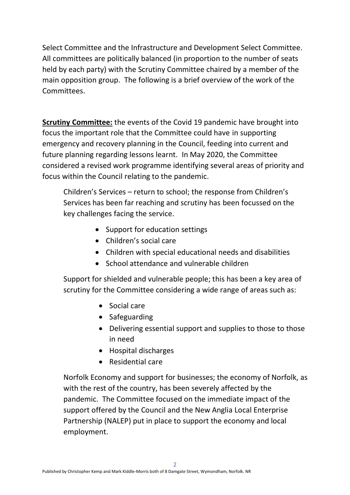Select Committee and the Infrastructure and Development Select Committee. All committees are politically balanced (in proportion to the number of seats held by each party) with the Scrutiny Committee chaired by a member of the main opposition group. The following is a brief overview of the work of the Committees.

**Scrutiny Committee:** the events of the Covid 19 pandemic have brought into focus the important role that the Committee could have in supporting emergency and recovery planning in the Council, feeding into current and future planning regarding lessons learnt. In May 2020, the Committee considered a revised work programme identifying several areas of priority and focus within the Council relating to the pandemic.

Children's Services – return to school; the response from Children's Services has been far reaching and scrutiny has been focussed on the key challenges facing the service.

- Support for education settings
- Children's social care
- Children with special educational needs and disabilities
- School attendance and vulnerable children

Support for shielded and vulnerable people; this has been a key area of scrutiny for the Committee considering a wide range of areas such as:

- Social care
- Safeguarding
- Delivering essential support and supplies to those to those in need
- Hospital discharges
- Residential care

Norfolk Economy and support for businesses; the economy of Norfolk, as with the rest of the country, has been severely affected by the pandemic. The Committee focused on the immediate impact of the support offered by the Council and the New Anglia Local Enterprise Partnership (NALEP) put in place to support the economy and local employment.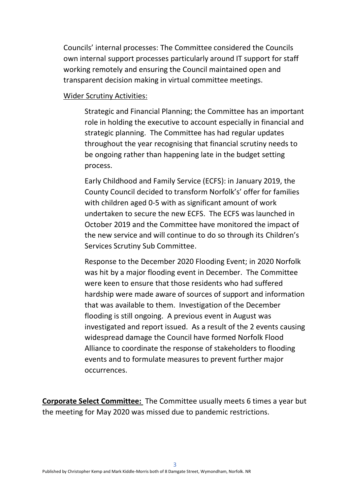Councils' internal processes: The Committee considered the Councils own internal support processes particularly around IT support for staff working remotely and ensuring the Council maintained open and transparent decision making in virtual committee meetings.

## Wider Scrutiny Activities:

Strategic and Financial Planning; the Committee has an important role in holding the executive to account especially in financial and strategic planning. The Committee has had regular updates throughout the year recognising that financial scrutiny needs to be ongoing rather than happening late in the budget setting process.

Early Childhood and Family Service (ECFS): in January 2019, the County Council decided to transform Norfolk's' offer for families with children aged 0-5 with as significant amount of work undertaken to secure the new ECFS. The ECFS was launched in October 2019 and the Committee have monitored the impact of the new service and will continue to do so through its Children's Services Scrutiny Sub Committee.

Response to the December 2020 Flooding Event; in 2020 Norfolk was hit by a major flooding event in December. The Committee were keen to ensure that those residents who had suffered hardship were made aware of sources of support and information that was available to them. Investigation of the December flooding is still ongoing. A previous event in August was investigated and report issued. As a result of the 2 events causing widespread damage the Council have formed Norfolk Flood Alliance to coordinate the response of stakeholders to flooding events and to formulate measures to prevent further major occurrences.

**Corporate Select Committee:** The Committee usually meets 6 times a year but the meeting for May 2020 was missed due to pandemic restrictions.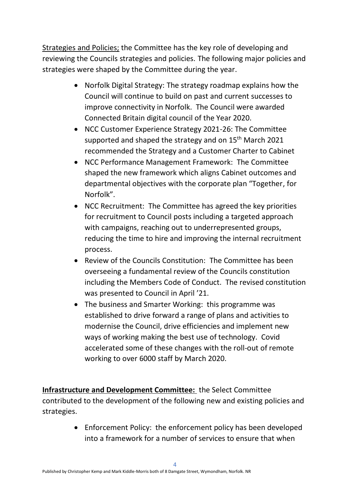Strategies and Policies; the Committee has the key role of developing and reviewing the Councils strategies and policies. The following major policies and strategies were shaped by the Committee during the year.

- Norfolk Digital Strategy: The strategy roadmap explains how the Council will continue to build on past and current successes to improve connectivity in Norfolk. The Council were awarded Connected Britain digital council of the Year 2020.
- NCC Customer Experience Strategy 2021-26: The Committee supported and shaped the strategy and on  $15<sup>th</sup>$  March 2021 recommended the Strategy and a Customer Charter to Cabinet
- NCC Performance Management Framework: The Committee shaped the new framework which aligns Cabinet outcomes and departmental objectives with the corporate plan "Together, for Norfolk".
- NCC Recruitment: The Committee has agreed the key priorities for recruitment to Council posts including a targeted approach with campaigns, reaching out to underrepresented groups, reducing the time to hire and improving the internal recruitment process.
- Review of the Councils Constitution: The Committee has been overseeing a fundamental review of the Councils constitution including the Members Code of Conduct. The revised constitution was presented to Council in April '21.
- The business and Smarter Working: this programme was established to drive forward a range of plans and activities to modernise the Council, drive efficiencies and implement new ways of working making the best use of technology. Covid accelerated some of these changes with the roll-out of remote working to over 6000 staff by March 2020.

**Infrastructure and Development Committee:** the Select Committee contributed to the development of the following new and existing policies and strategies.

> • Enforcement Policy: the enforcement policy has been developed into a framework for a number of services to ensure that when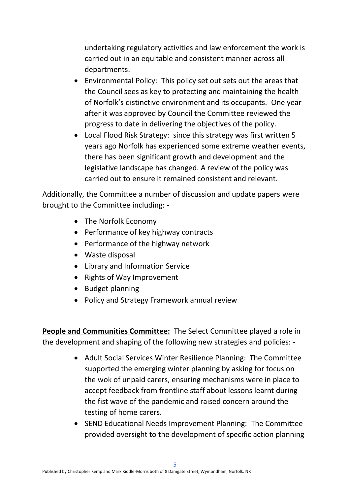undertaking regulatory activities and law enforcement the work is carried out in an equitable and consistent manner across all departments.

- Environmental Policy: This policy set out sets out the areas that the Council sees as key to protecting and maintaining the health of Norfolk's distinctive environment and its occupants. One year after it was approved by Council the Committee reviewed the progress to date in delivering the objectives of the policy.
- Local Flood Risk Strategy: since this strategy was first written 5 years ago Norfolk has experienced some extreme weather events, there has been significant growth and development and the legislative landscape has changed. A review of the policy was carried out to ensure it remained consistent and relevant.

Additionally, the Committee a number of discussion and update papers were brought to the Committee including: -

- The Norfolk Economy
- Performance of key highway contracts
- Performance of the highway network
- Waste disposal
- Library and Information Service
- Rights of Way Improvement
- Budget planning
- Policy and Strategy Framework annual review

**People and Communities Committee:** The Select Committee played a role in the development and shaping of the following new strategies and policies: -

- Adult Social Services Winter Resilience Planning: The Committee supported the emerging winter planning by asking for focus on the wok of unpaid carers, ensuring mechanisms were in place to accept feedback from frontline staff about lessons learnt during the fist wave of the pandemic and raised concern around the testing of home carers.
- SEND Educational Needs Improvement Planning: The Committee provided oversight to the development of specific action planning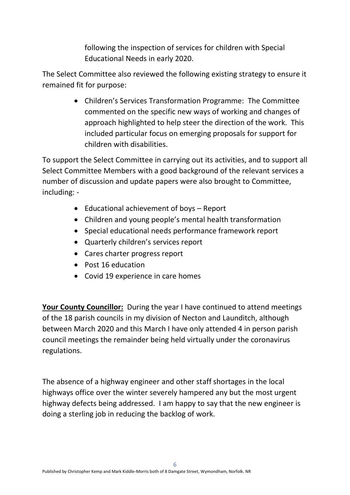following the inspection of services for children with Special Educational Needs in early 2020.

The Select Committee also reviewed the following existing strategy to ensure it remained fit for purpose:

> • Children's Services Transformation Programme: The Committee commented on the specific new ways of working and changes of approach highlighted to help steer the direction of the work. This included particular focus on emerging proposals for support for children with disabilities.

To support the Select Committee in carrying out its activities, and to support all Select Committee Members with a good background of the relevant services a number of discussion and update papers were also brought to Committee, including: -

- Educational achievement of boys Report
- Children and young people's mental health transformation
- Special educational needs performance framework report
- Quarterly children's services report
- Cares charter progress report
- Post 16 education
- Covid 19 experience in care homes

**Your County Councillor:** During the year I have continued to attend meetings of the 18 parish councils in my division of Necton and Launditch, although between March 2020 and this March I have only attended 4 in person parish council meetings the remainder being held virtually under the coronavirus regulations.

The absence of a highway engineer and other staff shortages in the local highways office over the winter severely hampered any but the most urgent highway defects being addressed. I am happy to say that the new engineer is doing a sterling job in reducing the backlog of work.